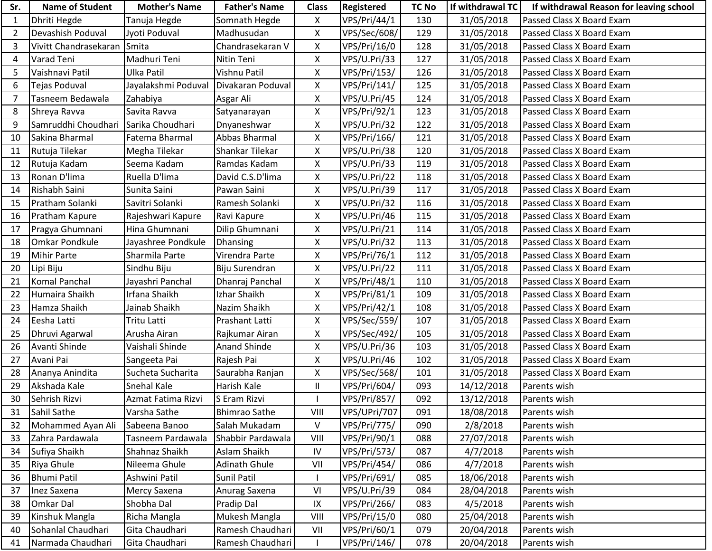| Sr.            | <b>Name of Student</b> | <b>Mother's Name</b> | <b>Father's Name</b> | <b>Class</b>       | Registered          | <b>TC No</b> | If withdrawal TC | If withdrawal Reason for leaving school |
|----------------|------------------------|----------------------|----------------------|--------------------|---------------------|--------------|------------------|-----------------------------------------|
| $\mathbf{1}$   | Dhriti Hegde           | Tanuja Hegde         | Somnath Hegde        | X                  | <b>VPS/Pri/44/1</b> | 130          | 31/05/2018       | Passed Class X Board Exam               |
| $\overline{2}$ | Devashish Poduval      | Jyoti Poduval        | Madhusudan           | X                  | VPS/Sec/608/        | 129          | 31/05/2018       | Passed Class X Board Exam               |
| 3              | Vivitt Chandrasekaran  | Smita                | Chandrasekaran V     | Χ                  | VPS/Pri/16/0        | 128          | 31/05/2018       | Passed Class X Board Exam               |
| 4              | Varad Teni             | Madhuri Teni         | Nitin Teni           | Χ                  | VPS/U.Pri/33        | 127          | 31/05/2018       | Passed Class X Board Exam               |
| 5              | Vaishnavi Patil        | <b>Ulka Patil</b>    | Vishnu Patil         | X                  | VPS/Pri/153/        | 126          | 31/05/2018       | Passed Class X Board Exam               |
| 6              | Tejas Poduval          | Jayalakshmi Poduval  | Divakaran Poduval    | $\pmb{\mathsf{X}}$ | VPS/Pri/141/        | 125          | 31/05/2018       | Passed Class X Board Exam               |
| $\overline{7}$ | Tasneem Bedawala       | Zahabiya             | Asgar Ali            | X                  | VPS/U.Pri/45        | 124          | 31/05/2018       | Passed Class X Board Exam               |
| 8              | Shreya Ravva           | Savita Ravva         | Satyanarayan         | X                  | VPS/Pri/92/1        | 123          | 31/05/2018       | Passed Class X Board Exam               |
| 9              | Samruddhi Choudhari    | Sarika Choudhari     | Dnyaneshwar          | X                  | VPS/U.Pri/32        | 122          | 31/05/2018       | Passed Class X Board Exam               |
| 10             | Sakina Bharmal         | Fatema Bharmal       | <b>Abbas Bharmal</b> | Χ                  | VPS/Pri/166/        | 121          | 31/05/2018       | Passed Class X Board Exam               |
| 11             | Rutuja Tilekar         | Megha Tilekar        | Shankar Tilekar      | Χ                  | VPS/U.Pri/38        | 120          | 31/05/2018       | Passed Class X Board Exam               |
| 12             | Rutuja Kadam           | Seema Kadam          | Ramdas Kadam         | Χ                  | VPS/U.Pri/33        | 119          | 31/05/2018       | Passed Class X Board Exam               |
| 13             | Ronan D'lima           | Ruella D'lima        | David C.S.D'lima     | Χ                  | VPS/U.Pri/22        | 118          | 31/05/2018       | Passed Class X Board Exam               |
| 14             | Rishabh Saini          | Sunita Saini         | Pawan Saini          | X                  | VPS/U.Pri/39        | 117          | 31/05/2018       | Passed Class X Board Exam               |
| 15             | Pratham Solanki        | Savitri Solanki      | Ramesh Solanki       | X                  | VPS/U.Pri/32        | 116          | 31/05/2018       | Passed Class X Board Exam               |
| 16             | Pratham Kapure         | Rajeshwari Kapure    | Ravi Kapure          | Χ                  | VPS/U.Pri/46        | 115          | 31/05/2018       | Passed Class X Board Exam               |
| 17             | Pragya Ghumnani        | Hina Ghumnani        | Dilip Ghumnani       | Χ                  | VPS/U.Pri/21        | 114          | 31/05/2018       | Passed Class X Board Exam               |
| 18             | <b>Omkar Pondkule</b>  | Jayashree Pondkule   | Dhansing             | X                  | VPS/U.Pri/32        | 113          | 31/05/2018       | Passed Class X Board Exam               |
| 19             | <b>Mihir Parte</b>     | Sharmila Parte       | Virendra Parte       | Χ                  | VPS/Pri/76/1        | 112          | 31/05/2018       | Passed Class X Board Exam               |
| 20             | Lipi Biju              | Sindhu Biju          | Biju Surendran       | X                  | VPS/U.Pri/22        | 111          | 31/05/2018       | Passed Class X Board Exam               |
| 21             | <b>Komal Panchal</b>   | Jayashri Panchal     | Dhanraj Panchal      | X                  | VPS/Pri/48/1        | 110          | 31/05/2018       | Passed Class X Board Exam               |
| 22             | Humaira Shaikh         | Irfana Shaikh        | Izhar Shaikh         | Χ                  | VPS/Pri/81/1        | 109          | 31/05/2018       | Passed Class X Board Exam               |
| 23             | Hamza Shaikh           | Jainab Shaikh        | Nazim Shaikh         | Χ                  | VPS/Pri/42/1        | 108          | 31/05/2018       | Passed Class X Board Exam               |
| 24             | Eesha Latti            | <b>Tritu Latti</b>   | Prashant Latti       | Χ                  | <b>VPS/Sec/559/</b> | 107          | 31/05/2018       | Passed Class X Board Exam               |
| 25             | Dhruvi Agarwal         | Arusha Airan         | Rajkumar Airan       | Χ                  | VPS/Sec/492/        | 105          | 31/05/2018       | Passed Class X Board Exam               |
| 26             | Avanti Shinde          | Vaishali Shinde      | <b>Anand Shinde</b>  | Χ                  | VPS/U.Pri/36        | 103          | 31/05/2018       | Passed Class X Board Exam               |
| 27             | Avani Pai              | Sangeeta Pai         | Rajesh Pai           | X                  | VPS/U.Pri/46        | 102          | 31/05/2018       | Passed Class X Board Exam               |
| 28             | Ananya Anindita        | Sucheta Sucharita    | Saurabha Ranjan      | X                  | VPS/Sec/568/        | 101          | 31/05/2018       | Passed Class X Board Exam               |
| 29             | Akshada Kale           | <b>Snehal Kale</b>   | Harish Kale          | $\sf II$           | VPS/Pri/604/        | 093          | 14/12/2018       | Parents wish                            |
| 30             | Sehrish Rizvi          | Azmat Fatima Rizvi   | S Eram Rizvi         |                    | <b>VPS/Pri/857/</b> | 092          | 13/12/2018       | Parents wish                            |
| 31             | Sahil Sathe            | Varsha Sathe         | <b>Bhimrao Sathe</b> | VIII               | VPS/UPri/707        | 091          | 18/08/2018       | Parents wish                            |
| 32             | Mohammed Ayan Ali      | Sabeena Banoo        | Salah Mukadam        | V                  | VPS/Pri/775/        | 090          | 2/8/2018         | Parents wish                            |
| 33             | Zahra Pardawala        | Tasneem Pardawala    | Shabbir Pardawala    | VIII               | VPS/Pri/90/1        | 088          | 27/07/2018       | Parents wish                            |
| 34             | Sufiya Shaikh          | Shahnaz Shaikh       | Aslam Shaikh         | IV                 | VPS/Pri/573/        | 087          | 4/7/2018         | Parents wish                            |
| 35             | Riya Ghule             | Nileema Ghule        | <b>Adinath Ghule</b> | VII                | <b>VPS/Pri/454/</b> | 086          | 4/7/2018         | Parents wish                            |
| 36             | <b>Bhumi Patil</b>     | Ashwini Patil        | Sunil Patil          |                    | VPS/Pri/691/        | 085          | 18/06/2018       | Parents wish                            |
| 37             | Inez Saxena            | Mercy Saxena         | Anurag Saxena        | VI                 | VPS/U.Pri/39        | 084          | 28/04/2018       | Parents wish                            |
| 38             | Omkar Dal              | Shobha Dal           | Pradip Dal           | IX                 | VPS/Pri/266/        | 083          | 4/5/2018         | Parents wish                            |
| 39             | Kinshuk Mangla         | Richa Mangla         | Mukesh Mangla        | VIII               | VPS/Pri/15/0        | 080          | 25/04/2018       | Parents wish                            |
| 40             | Sohanlal Chaudhari     | Gita Chaudhari       | Ramesh Chaudhari     | VII                | VPS/Pri/60/1        | 079          | 20/04/2018       | Parents wish                            |
| 41             | Narmada Chaudhari      | Gita Chaudhari       | Ramesh Chaudhari     |                    | VPS/Pri/146/        | 078          | 20/04/2018       | Parents wish                            |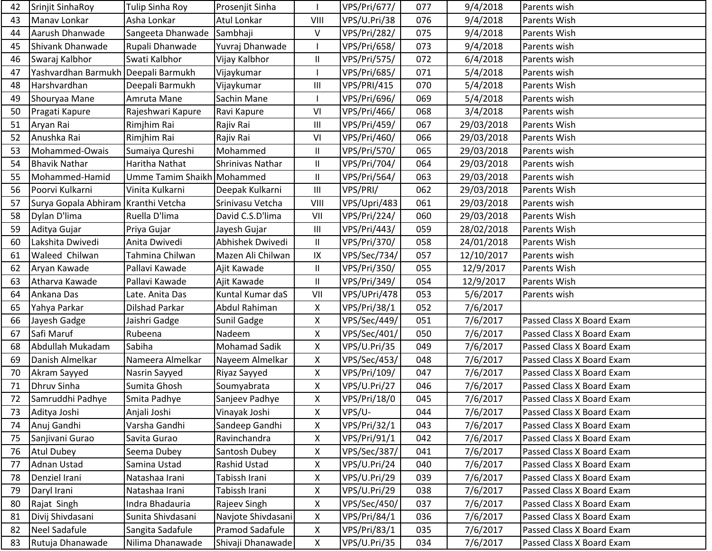| 42 | Srinjit SinhaRoy                    | Tulip Sinha Roy            | Prosenjit Sinha    |                                    | VPS/Pri/677/        | 077 | 9/4/2018   | Parents wish              |
|----|-------------------------------------|----------------------------|--------------------|------------------------------------|---------------------|-----|------------|---------------------------|
| 43 | Manav Lonkar                        | Asha Lonkar                | Atul Lonkar        | VIII                               | VPS/U.Pri/38        | 076 | 9/4/2018   | Parents Wish              |
| 44 | Aarush Dhanwade                     | Sangeeta Dhanwade Sambhaji |                    | $\mathsf{V}$                       | VPS/Pri/282/        | 075 | 9/4/2018   | Parents Wish              |
| 45 | Shivank Dhanwade                    | Rupali Dhanwade            | Yuvraj Dhanwade    |                                    | VPS/Pri/658/        | 073 | 9/4/2018   | Parents wish              |
| 46 | Swaraj Kalbhor                      | Swati Kalbhor              | Vijay Kalbhor      | Ш                                  | VPS/Pri/575/        | 072 | 6/4/2018   | Parents wish              |
| 47 | Yashvardhan Barmukh Deepali Barmukh |                            | Vijaykumar         |                                    | VPS/Pri/685/        | 071 | 5/4/2018   | Parents wish              |
| 48 | Harshvardhan                        | Deepali Barmukh            | Vijaykumar         | Ш                                  | VPS/PRI/415         | 070 | 5/4/2018   | Parents Wish              |
| 49 | Shouryaa Mane                       | Amruta Mane                | Sachin Mane        |                                    | VPS/Pri/696/        | 069 | 5/4/2018   | Parents wish              |
| 50 | Pragati Kapure                      | Rajeshwari Kapure          | Ravi Kapure        | VI                                 | VPS/Pri/466/        | 068 | 3/4/2018   | Parents wish              |
| 51 | Aryan Rai                           | Rimjhim Rai                | Rajiv Rai          | Ш                                  | <b>VPS/Pri/459/</b> | 067 | 29/03/2018 | Parents Wish              |
| 52 | Anushka Rai                         | Rimjhim Rai                | Rajiv Rai          | VI                                 | VPS/Pri/460/        | 066 | 29/03/2018 | Parents Wish              |
| 53 | Mohammed-Owais                      | Sumaiya Qureshi            | Mohammed           | $\mathsf{I}$                       | VPS/Pri/570/        | 065 | 29/03/2018 | Parents wish              |
| 54 | <b>Bhavik Nathar</b>                | Haritha Nathat             | Shrinivas Nathar   | Ш                                  | VPS/Pri/704/        | 064 | 29/03/2018 | Parents wish              |
| 55 | Mohammed-Hamid                      | Umme Tamim Shaikh Mohammed |                    | Ш                                  | <b>VPS/Pri/564/</b> | 063 | 29/03/2018 | Parents wish              |
| 56 | Poorvi Kulkarni                     | Vinita Kulkarni            | Deepak Kulkarni    | $\ensuremath{\mathsf{III}}\xspace$ | VPS/PRI/            | 062 | 29/03/2018 | Parents Wish              |
| 57 | Surya Gopala Abhiram Kranthi Vetcha |                            | Srinivasu Vetcha   | VIII                               | VPS/Upri/483        | 061 | 29/03/2018 | Parents wish              |
| 58 | Dylan D'lima                        | Ruella D'lima              | David C.S.D'lima   | VII                                | VPS/Pri/224/        | 060 | 29/03/2018 | Parents Wish              |
| 59 | Aditya Gujar                        | Priya Gujar                | Jayesh Gujar       | $\mathop{\rm III}\nolimits$        | <b>VPS/Pri/443/</b> | 059 | 28/02/2018 | Parents Wish              |
| 60 | Lakshita Dwivedi                    | Anita Dwivedi              | Abhishek Dwivedi   | $\mathbf{II}$                      | VPS/Pri/370/        | 058 | 24/01/2018 | Parents Wish              |
| 61 | Waleed Chilwan                      | Tahmina Chilwan            | Mazen Ali Chilwan  | IX                                 | VPS/Sec/734/        | 057 | 12/10/2017 | Parents wish              |
| 62 | Aryan Kawade                        | Pallavi Kawade             | Ajit Kawade        | 11                                 | VPS/Pri/350/        | 055 | 12/9/2017  | Parents Wish              |
| 63 | Atharva Kawade                      | Pallavi Kawade             | Ajit Kawade        | $\mathbf{II}$                      | VPS/Pri/349/        | 054 | 12/9/2017  | Parents Wish              |
| 64 | Ankana Das                          | Late. Anita Das            | Kuntal Kumar daS   | VII                                | VPS/UPri/478        | 053 | 5/6/2017   | Parents wish              |
| 65 | Yahya Parkar                        | Dilshad Parkar             | Abdul Rahiman      | X                                  | VPS/Pri/38/1        | 052 | 7/6/2017   |                           |
| 66 | Jayesh Gadge                        | Jaishri Gadge              | Sunil Gadge        | Χ                                  | VPS/Sec/449/        | 051 | 7/6/2017   | Passed Class X Board Exam |
| 67 | Safi Maruf                          | Rubeena                    | Nadeem             | X                                  | VPS/Sec/401/        | 050 | 7/6/2017   | Passed Class X Board Exam |
| 68 | Abdullah Mukadam                    | Sabiha                     | Mohamad Sadik      | X                                  | VPS/U.Pri/35        | 049 | 7/6/2017   | Passed Class X Board Exam |
| 69 | Danish Almelkar                     | Nameera Almelkar           | Nayeem Almelkar    | X                                  | VPS/Sec/453/        | 048 | 7/6/2017   | Passed Class X Board Exam |
| 70 | Akram Sayyed                        | Nasrin Sayyed              | Riyaz Sayyed       | X                                  | VPS/Pri/109/        | 047 | 7/6/2017   | Passed Class X Board Exam |
| 71 | Dhruv Sinha                         | Sumita Ghosh               | Soumyabrata        | X                                  | VPS/U.Pri/27        | 046 | 7/6/2017   | Passed Class X Board Exam |
| 72 | Samruddhi Padhye                    | Smita Padhye               | Sanjeev Padhye     | X                                  | VPS/Pri/18/0        | 045 | 7/6/2017   | Passed Class X Board Exam |
| 73 | Aditya Joshi                        | Anjali Joshi               | Vinayak Joshi      | X                                  | VPS/U-              | 044 | 7/6/2017   | Passed Class X Board Exam |
| 74 | Anuj Gandhi                         | Varsha Gandhi              | Sandeep Gandhi     | Χ                                  | VPS/Pri/32/1        | 043 | 7/6/2017   | Passed Class X Board Exam |
| 75 | Sanjivani Gurao                     | Savita Gurao               | Ravinchandra       | X                                  | VPS/Pri/91/1        | 042 | 7/6/2017   | Passed Class X Board Exam |
| 76 | <b>Atul Dubey</b>                   | Seema Dubey                | Santosh Dubey      | X                                  | VPS/Sec/387/        | 041 | 7/6/2017   | Passed Class X Board Exam |
| 77 | Adnan Ustad                         | Samina Ustad               | Rashid Ustad       | X                                  | VPS/U.Pri/24        | 040 | 7/6/2017   | Passed Class X Board Exam |
| 78 | Denziel Irani                       | Natashaa Irani             | Tabissh Irani      | X                                  | VPS/U.Pri/29        | 039 | 7/6/2017   | Passed Class X Board Exam |
| 79 | Daryl Irani                         | Natashaa Irani             | Tabissh Irani      | Χ                                  | VPS/U.Pri/29        | 038 | 7/6/2017   | Passed Class X Board Exam |
| 80 | Rajat Singh                         | Indra Bhadauria            | Rajeev Singh       | X                                  | VPS/Sec/450/        | 037 | 7/6/2017   | Passed Class X Board Exam |
| 81 | Divij Shivdasani                    | Sunita Shivdasani          | Navjote Shivdasani | X                                  | VPS/Pri/84/1        | 036 | 7/6/2017   | Passed Class X Board Exam |
| 82 | Neel Sadafule                       | Sangita Sadafule           | Pramod Sadafule    | X                                  | VPS/Pri/83/1        | 035 | 7/6/2017   | Passed Class X Board Exam |
| 83 | Rutuja Dhanawade                    | Nilima Dhanawade           | Shivaji Dhanawade  | X                                  | VPS/U.Pri/35        | 034 | 7/6/2017   | Passed Class X Board Exam |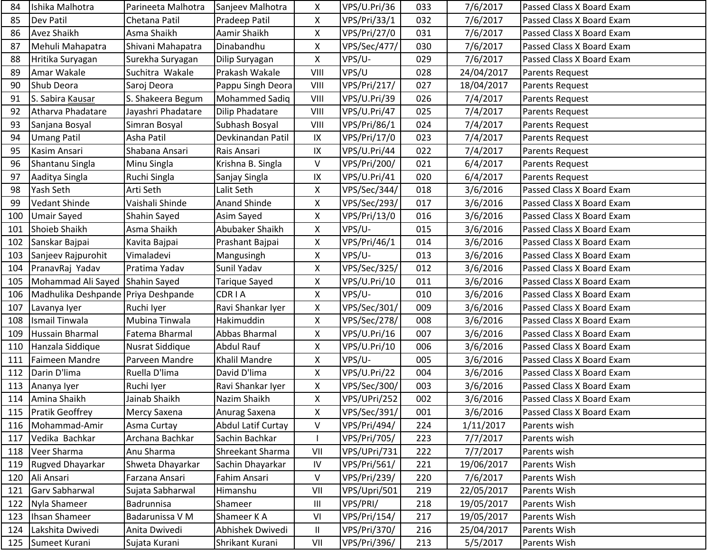| 84  | Ishika Malhotra                     | Parineeta Malhotra | Sanjeev Malhotra          | X              | VPS/U.Pri/36 | 033 | 7/6/2017   | Passed Class X Board Exam |
|-----|-------------------------------------|--------------------|---------------------------|----------------|--------------|-----|------------|---------------------------|
| 85  | <b>Dev Patil</b>                    | Chetana Patil      | Pradeep Patil             | X              | VPS/Pri/33/1 | 032 | 7/6/2017   | Passed Class X Board Exam |
| 86  | <b>Avez Shaikh</b>                  | Asma Shaikh        | Aamir Shaikh              | X              | VPS/Pri/27/0 | 031 | 7/6/2017   | Passed Class X Board Exam |
| 87  | Mehuli Mahapatra                    | Shivani Mahapatra  | Dinabandhu                | X              | VPS/Sec/477/ | 030 | 7/6/2017   | Passed Class X Board Exam |
| 88  | Hritika Suryagan                    | Surekha Suryagan   | Dilip Suryagan            | X              | VPS/U-       | 029 | 7/6/2017   | Passed Class X Board Exam |
| 89  | Amar Wakale                         | Suchitra Wakale    | Prakash Wakale            | VIII           | VPS/U        | 028 | 24/04/2017 | Parents Request           |
| 90  | Shub Deora                          | Saroj Deora        | Pappu Singh Deora         | VIII           | VPS/Pri/217/ | 027 | 18/04/2017 | Parents Request           |
| 91  | S. Sabira Kausar                    | S. Shakeera Begum  | <b>Mohammed Sadiq</b>     | VIII           | VPS/U.Pri/39 | 026 | 7/4/2017   | Parents Request           |
| 92  | Atharva Phadatare                   | Jayashri Phadatare | Dilip Phadatare           | VIII           | VPS/U.Pri/47 | 025 | 7/4/2017   | Parents Request           |
| 93  | Sanjana Bosyal                      | Simran Bosyal      | Subhash Bosyal            | VIII           | VPS/Pri/86/1 | 024 | 7/4/2017   | Parents Request           |
| 94  | <b>Umang Patil</b>                  | Asha Patil         | Devkinandan Patil         | IX             | VPS/Pri/17/0 | 023 | 7/4/2017   | Parents Request           |
| 95  | Kasim Ansari                        | Shabana Ansari     | Rais Ansari               | IX             | VPS/U.Pri/44 | 022 | 7/4/2017   | Parents Request           |
| 96  | Shantanu Singla                     | Minu Singla        | Krishna B. Singla         | V              | VPS/Pri/200/ | 021 | 6/4/2017   | Parents Request           |
| 97  | Aaditya Singla                      | Ruchi Singla       | Sanjay Singla             | $\sf IX$       | VPS/U.Pri/41 | 020 | 6/4/2017   | Parents Request           |
| 98  | Yash Seth                           | Arti Seth          | Lalit Seth                | X              | VPS/Sec/344/ | 018 | 3/6/2016   | Passed Class X Board Exam |
| 99  | Vedant Shinde                       | Vaishali Shinde    | Anand Shinde              | X              | VPS/Sec/293/ | 017 | 3/6/2016   | Passed Class X Board Exam |
| 100 | <b>Umair Sayed</b>                  | Shahin Sayed       | Asim Sayed                | X              | VPS/Pri/13/0 | 016 | 3/6/2016   | Passed Class X Board Exam |
| 101 | <b>Shoieb Shaikh</b>                | Asma Shaikh        | Abubaker Shaikh           | X              | VPS/U-       | 015 | 3/6/2016   | Passed Class X Board Exam |
| 102 | Sanskar Bajpai                      | Kavita Bajpai      | Prashant Bajpai           | X              | VPS/Pri/46/1 | 014 | 3/6/2016   | Passed Class X Board Exam |
| 103 | Sanjeev Rajpurohit                  | Vimaladevi         | Mangusingh                | Χ              | VPS/U-       | 013 | 3/6/2016   | Passed Class X Board Exam |
| 104 | PranavRaj Yadav                     | Pratima Yadav      | Sunil Yadav               | X              | VPS/Sec/325/ | 012 | 3/6/2016   | Passed Class X Board Exam |
| 105 | Mohammad Ali Sayed Shahin Sayed     |                    | Tarique Sayed             | X              | VPS/U.Pri/10 | 011 | 3/6/2016   | Passed Class X Board Exam |
| 106 | Madhulika Deshpande Priya Deshpande |                    | <b>CDRIA</b>              | X              | VPS/U-       | 010 | 3/6/2016   | Passed Class X Board Exam |
| 107 | Lavanya Iyer                        | Ruchi Iyer         | Ravi Shankar Iyer         | X              | VPS/Sec/301/ | 009 | 3/6/2016   | Passed Class X Board Exam |
| 108 | <b>Ismail Tinwala</b>               | Mubina Tinwala     | Hakimuddin                | X              | VPS/Sec/278/ | 008 | 3/6/2016   | Passed Class X Board Exam |
| 109 | <b>Hussain Bharmal</b>              | Fatema Bharmal     | Abbas Bharmal             | Χ              | VPS/U.Pri/16 | 007 | 3/6/2016   | Passed Class X Board Exam |
| 110 | Hanzala Siddique                    | Nusrat Siddique    | Abdul Rauf                | X              | VPS/U.Pri/10 | 006 | 3/6/2016   | Passed Class X Board Exam |
| 111 | <b>Faimeen Mandre</b>               | Parveen Mandre     | Khalil Mandre             | X              | VPS/U-       | 005 | 3/6/2016   | Passed Class X Board Exam |
| 112 | Darin D'lima                        | Ruella D'lima      | David D'lima              | X              | VPS/U.Pri/22 | 004 | 3/6/2016   | Passed Class X Board Exam |
| 113 | Ananya Iyer                         | Ruchi Iyer         | Ravi Shankar Iyer         | Χ              | VPS/Sec/300/ | 003 | 3/6/2016   | Passed Class X Board Exam |
| 114 | Amina Shaikh                        | Jainab Shaikh      | Nazim Shaikh              | X              | VPS/UPri/252 | 002 | 3/6/2016   | Passed Class X Board Exam |
| 115 | <b>Pratik Geoffrey</b>              | Mercy Saxena       | Anurag Saxena             | X              | VPS/Sec/391/ | 001 | 3/6/2016   | Passed Class X Board Exam |
| 116 | Mohammad-Amir                       | Asma Curtay        | <b>Abdul Latif Curtay</b> | V              | VPS/Pri/494/ | 224 | 1/11/2017  | Parents wish              |
| 117 | Vedika Bachkar                      | Archana Bachkar    | Sachin Bachkar            |                | VPS/Pri/705/ | 223 | 7/7/2017   | Parents wish              |
| 118 | Veer Sharma                         | Anu Sharma         | Shreekant Sharma          | VII            | VPS/UPri/731 | 222 | 7/7/2017   | Parents wish              |
| 119 | Rugved Dhayarkar                    | Shweta Dhayarkar   | Sachin Dhayarkar          | IV             | VPS/Pri/561/ | 221 | 19/06/2017 | Parents Wish              |
| 120 | Ali Ansari                          | Farzana Ansari     | Fahim Ansari              | V              | VPS/Pri/239/ | 220 | 7/6/2017   | Parents Wish              |
| 121 | Garv Sabharwal                      | Sujata Sabharwal   | Himanshu                  | VII            | VPS/Upri/501 | 219 | 22/05/2017 | Parents Wish              |
| 122 | Nyla Shameer                        | Badrunnisa         | Shameer                   | $\mathbf{III}$ | VPS/PRI/     | 218 | 19/05/2017 | Parents Wish              |
| 123 | Ihsan Shameer                       | Badarunissa V M    | Shameer K A               | VI             | VPS/Pri/154/ | 217 | 19/05/2017 | Parents Wish              |
| 124 | Lakshita Dwivedi                    | Anita Dwivedi      | Abhishek Dwivedi          | $\mathbf{II}$  | VPS/Pri/370/ | 216 | 25/04/2017 | Parents Wish              |
| 125 | Sumeet Kurani                       | Sujata Kurani      | Shrikant Kurani           | VII            | VPS/Pri/396/ | 213 | 5/5/2017   | Parents Wish              |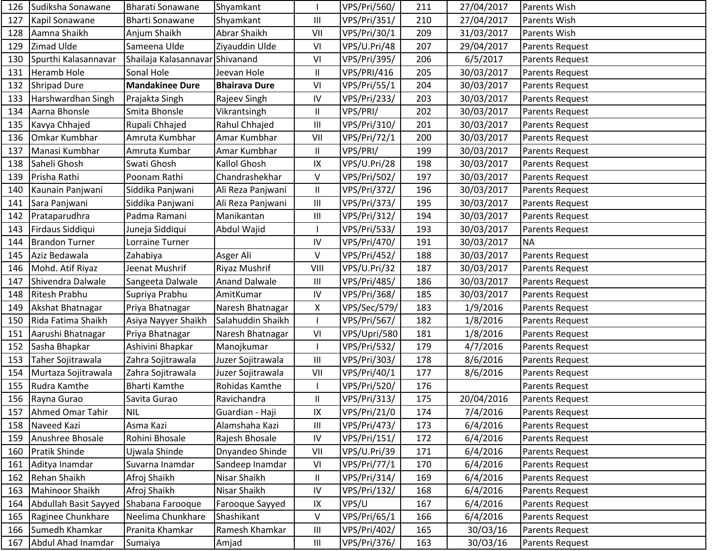| 126 | Sudiksha Sonawane     | Bharati Sonawane                | Shyamkant            |                | VPS/Pri/560/        | 211 | 27/04/2017 | Parents Wish           |
|-----|-----------------------|---------------------------------|----------------------|----------------|---------------------|-----|------------|------------------------|
| 127 | Kapil Sonawane        | <b>Bharti Sonawane</b>          | Shyamkant            | Ш              | VPS/Pri/351/        | 210 | 27/04/2017 | Parents Wish           |
| 128 | Aamna Shaikh          | Anjum Shaikh                    | Abrar Shaikh         | VII            | VPS/Pri/30/1        | 209 | 31/03/2017 | Parents Wish           |
| 129 | Zimad Ulde            | Sameena Ulde                    | Ziyauddin Ulde       | VI             | VPS/U.Pri/48        | 207 | 29/04/2017 | Parents Request        |
| 130 | Spurthi Kalasannavar  | Shailaja Kalasannavar Shivanand |                      | VI             | VPS/Pri/395/        | 206 | 6/5/2017   | Parents Request        |
| 131 | <b>Heramb Hole</b>    | Sonal Hole                      | Jeevan Hole          | $\sf II$       | VPS/PRI/416         | 205 | 30/03/2017 | Parents Request        |
| 132 | <b>Shripad Dure</b>   | <b>Mandakinee Dure</b>          | <b>Bhairava Dure</b> | VI             | VPS/Pri/55/1        | 204 | 30/03/2017 | Parents Request        |
| 133 | Harshwardhan Singh    | Prajakta Singh                  | Rajeev Singh         | $\mathsf{IV}$  | VPS/Pri/233/        | 203 | 30/03/2017 | Parents Request        |
| 134 | Aarna Bhonsle         | Smita Bhonsle                   | Vikrantsingh         | $\sf II$       | VPS/PRI/            | 202 | 30/03/2017 | Parents Request        |
| 135 | Kavya Chhajed         | Rupali Chhajed                  | Rahul Chhajed        | Ш              | VPS/Pri/310/        | 201 | 30/03/2017 | Parents Request        |
| 136 | Omkar Kumbhar         | Amruta Kumbhar                  | Amar Kumbhar         | VII            | VPS/Pri/72/1        | 200 | 30/03/2017 | Parents Request        |
| 137 | Manasi Kumbhar        | Amruta Kumbar                   | Amar Kumbhar         | Ш              | VPS/PRI/            | 199 | 30/03/2017 | Parents Request        |
| 138 | Saheli Ghosh          | Swati Ghosh                     | Kallol Ghosh         | IX             | VPS/U.Pri/28        | 198 | 30/03/2017 | Parents Request        |
| 139 | Prisha Rathi          | Poonam Rathi                    | Chandrashekhar       | V              | VPS/Pri/502/        | 197 | 30/03/2017 | Parents Request        |
| 140 | Kaunain Panjwani      | Siddika Panjwani                | Ali Reza Panjwani    | $\mathbf{II}$  | <b>VPS/Pri/372/</b> | 196 | 30/03/2017 | Parents Request        |
| 141 | Sara Panjwani         | Siddika Panjwani                | Ali Reza Panjwani    | $\mathbf{III}$ | VPS/Pri/373/        | 195 | 30/03/2017 | Parents Request        |
| 142 | Prataparudhra         | Padma Ramani                    | Manikantan           | Ш              | VPS/Pri/312/        | 194 | 30/03/2017 | Parents Request        |
| 143 | Firdaus Siddiqui      | Juneja Siddiqui                 | Abdul Wajid          |                | VPS/Pri/533/        | 193 | 30/03/2017 | <b>Parents Request</b> |
| 144 | <b>Brandon Turner</b> | Lorraine Turner                 |                      | $\mathsf{IV}$  | VPS/Pri/470/        | 191 | 30/03/2017 | <b>NA</b>              |
| 145 | Aziz Bedawala         | Zahabiya                        | Asger Ali            | V              | <b>VPS/Pri/452/</b> | 188 | 30/03/2017 | Parents Request        |
| 146 | Mohd. Atif Riyaz      | Jeenat Mushrif                  | Riyaz Mushrif        | VIII           | VPS/U.Pri/32        | 187 | 30/03/2017 | Parents Request        |
| 147 | Shivendra Dalwale     | Sangeeta Dalwale                | <b>Anand Dalwale</b> | Ш              | <b>VPS/Pri/485/</b> | 186 | 30/03/2017 | Parents Request        |
| 148 | <b>Ritesh Prabhu</b>  | Supriya Prabhu                  | AmitKumar            | IV             | VPS/Pri/368/        | 185 | 30/03/2017 | <b>Parents Request</b> |
| 149 | Akshat Bhatnagar      | Priya Bhatnagar                 | Naresh Bhatnagar     | Χ              | VPS/Sec/579/        | 183 | 1/9/2016   | Parents Request        |
| 150 | Rida Fatima Shaikh    | Asiya Nayyer Shaikh             | Salahuddin Shaikh    |                | VPS/Pri/567/        | 182 | 1/8/2016   | Parents Request        |
| 151 | Aarushi Bhatnagar     | Priya Bhatnagar                 | Naresh Bhatnagar     | VI             | VPS/Upri/580        | 181 | 1/8/2016   | Parents Request        |
| 152 | Sasha Bhapkar         | Ashivini Bhapkar                | Manojkumar           |                | VPS/Pri/532/        | 179 | 4/7/2016   | Parents Request        |
| 153 | Taher Sojitrawala     | Zahra Sojitrawala               | Juzer Sojitrawala    | $\mathbf{III}$ | VPS/Pri/303/        | 178 | 8/6/2016   | <b>Parents Request</b> |
| 154 | Murtaza Sojitrawala   | Zahra Sojitrawala               | Juzer Sojitrawala    | VII            | VPS/Pri/40/1        | 177 | 8/6/2016   | Parents Request        |
| 155 | Rudra Kamthe          | <b>Bharti Kamthe</b>            | Rohidas Kamthe       |                | VPS/Pri/520/        | 176 |            | Parents Request        |
| 156 | Rayna Gurao           | Savita Gurao                    | Ravichandra          | Ш              | VPS/Pri/313/        | 175 | 20/04/2016 | Parents Request        |
| 157 | Ahmed Omar Tahir      | NIL                             | Guardian - Haji      | IX             | VPS/Pri/21/0        | 174 | 7/4/2016   | Parents Request        |
| 158 | Naveed Kazi           | Asma Kazi                       | Alamshaha Kazi       | Ш              | VPS/Pri/473/        | 173 | 6/4/2016   | Parents Request        |
| 159 | Anushree Bhosale      | Rohini Bhosale                  | Rajesh Bhosale       | IV             | VPS/Pri/151/        | 172 | 6/4/2016   | Parents Request        |
| 160 | <b>Pratik Shinde</b>  | Ujwala Shinde                   | Dnyandeo Shinde      | VII            | VPS/U.Pri/39        | 171 | 6/4/2016   | Parents Request        |
| 161 | Aditya Inamdar        | Suvarna Inamdar                 | Sandeep Inamdar      | VI             | VPS/Pri/77/1        | 170 | 6/4/2016   | Parents Request        |
| 162 | Rehan Shaikh          | Afroj Shaikh                    | Nisar Shaikh         | $\mathbf{II}$  | VPS/Pri/314/        | 169 | 6/4/2016   | Parents Request        |
| 163 | Mahinoor Shaikh       | Afroj Shaikh                    | Nisar Shaikh         | ${\sf IV}$     | VPS/Pri/132/        | 168 | 6/4/2016   | Parents Request        |
| 164 | Abdullah Basit Sayyed | Shabana Farooque                | Farooque Sayyed      | IX             | VPS/U               | 167 | 6/4/2016   | Parents Request        |
| 165 | Raginee Chunkhare     | Neelima Chunkhare               | Shashikant           | V              | VPS/Pri/65/1        | 166 | 6/4/2016   | Parents Request        |
| 166 | Sumedh Khamkar        | Pranita Khamkar                 | Ramesh Khamkar       | Ш              | VPS/Pri/402/        | 165 | 30/03/16   | Parents Request        |
| 167 | Abdul Ahad Inamdar    | Sumaiya                         | Amjad                | Ш              | VPS/Pri/376/        | 163 | 30/03/16   | Parents Request        |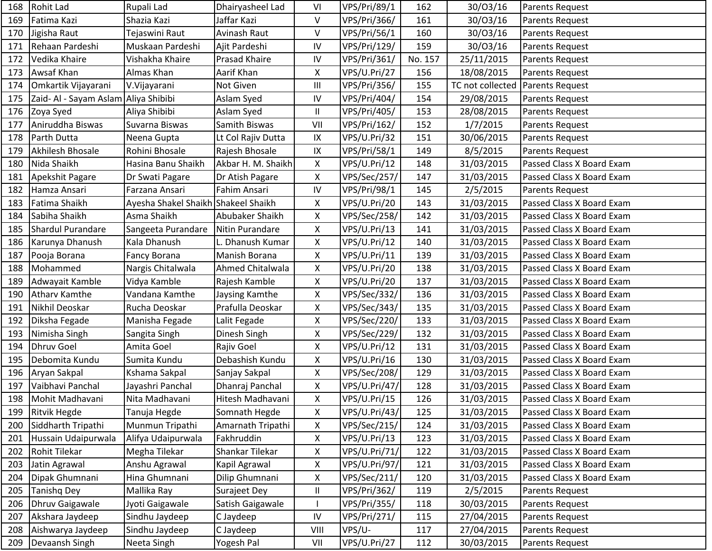| 168 | Rohit Lad                            | Rupali Lad                          | Dhairyasheel Lad   | VI         | VPS/Pri/89/1  | 162     | 30/03/16         | <b>Parents Request</b>    |
|-----|--------------------------------------|-------------------------------------|--------------------|------------|---------------|---------|------------------|---------------------------|
| 169 | Fatima Kazi                          | Shazia Kazi                         | Jaffar Kazi        | V          | VPS/Pri/366/  | 161     | 30/03/16         | Parents Request           |
| 170 | Jigisha Raut                         | Tejaswini Raut                      | Avinash Raut       | V          | VPS/Pri/56/1  | 160     | 30/03/16         | Parents Request           |
| 171 | Rehaan Pardeshi                      | Muskaan Pardeshi                    | Ajit Pardeshi      | IV         | VPS/Pri/129/  | 159     | 30/03/16         | Parents Request           |
| 172 | Vedika Khaire                        | Vishakha Khaire                     | Prasad Khaire      | IV         | VPS/Pri/361/  | No. 157 | 25/11/2015       | Parents Request           |
| 173 | Awsaf Khan                           | Almas Khan                          | Aarif Khan         | X          | VPS/U.Pri/27  | 156     | 18/08/2015       | Parents Request           |
| 174 | Omkartik Vijayarani                  | V. Vijayarani                       | Not Given          | Ш          | VPS/Pri/356/  | 155     | TC not collected | Parents Request           |
| 175 | Zaid- Al - Sayam Aslam Aliya Shibibi |                                     | Aslam Syed         | ${\sf IV}$ | VPS/Pri/404/  | 154     | 29/08/2015       | Parents Request           |
| 176 | Zoya Syed                            | Aliya Shibibi                       | Aslam Syed         | Ш          | VPS/Pri/405/  | 153     | 28/08/2015       | Parents Request           |
| 177 | Aniruddha Biswas                     | Suvarna Biswas                      | Samith Biswas      | VII        | VPS/Pri/162/  | 152     | 1/7/2015         | Parents Request           |
| 178 | Parth Dutta                          | Neena Gupta                         | Lt Col Rajiv Dutta | IX         | VPS/U.Pri/32  | 151     | 30/06/2015       | Parents Request           |
| 179 | Akhilesh Bhosale                     | Rohini Bhosale                      | Rajesh Bhosale     | IX         | VPS/Pri/58/1  | 149     | 8/5/2015         | Parents Request           |
| 180 | Nida Shaikh                          | Hasina Banu Shaikh                  | Akbar H. M. Shaikh | X          | VPS/U.Pri/12  | 148     | 31/03/2015       | Passed Class X Board Exam |
| 181 | Apekshit Pagare                      | Dr Swati Pagare                     | Dr Atish Pagare    | X          | VPS/Sec/257/  | 147     | 31/03/2015       | Passed Class X Board Exam |
| 182 | Hamza Ansari                         | Farzana Ansari                      | Fahim Ansari       | ${\sf IV}$ | VPS/Pri/98/1  | 145     | 2/5/2015         | Parents Request           |
| 183 | Fatima Shaikh                        | Ayesha Shakel Shaikh Shakeel Shaikh |                    | X          | VPS/U.Pri/20  | 143     | 31/03/2015       | Passed Class X Board Exam |
| 184 | Sabiha Shaikh                        | Asma Shaikh                         | Abubaker Shaikh    | X          | VPS/Sec/258/  | 142     | 31/03/2015       | Passed Class X Board Exam |
| 185 | Shardul Purandare                    | Sangeeta Purandare                  | Nitin Purandare    | Χ          | VPS/U.Pri/13  | 141     | 31/03/2015       | Passed Class X Board Exam |
| 186 | Karunya Dhanush                      | Kala Dhanush                        | Dhanush Kumar      | X          | VPS/U.Pri/12  | 140     | 31/03/2015       | Passed Class X Board Exam |
| 187 | Pooja Borana                         | Fancy Borana                        | Manish Borana      | X          | VPS/U.Pri/11  | 139     | 31/03/2015       | Passed Class X Board Exam |
| 188 | Mohammed                             | Nargis Chitalwala                   | Ahmed Chitalwala   | X          | VPS/U.Pri/20  | 138     | 31/03/2015       | Passed Class X Board Exam |
| 189 | Adwayait Kamble                      | Vidya Kamble                        | Rajesh Kamble      | X          | VPS/U.Pri/20  | 137     | 31/03/2015       | Passed Class X Board Exam |
| 190 | <b>Atharv Kamthe</b>                 | Vandana Kamthe                      | Jaysing Kamthe     | X          | VPS/Sec/332/  | 136     | 31/03/2015       | Passed Class X Board Exam |
| 191 | Nikhil Deoskar                       | Rucha Deoskar                       | Prafulla Deoskar   | Χ          | VPS/Sec/343/  | 135     | 31/03/2015       | Passed Class X Board Exam |
| 192 | Diksha Fegade                        | Manisha Fegade                      | Lalit Fegade       | Χ          | VPS/Sec/220/  | 133     | 31/03/2015       | Passed Class X Board Exam |
| 193 | Nimisha Singh                        | Sangita Singh                       | Dinesh Singh       | Χ          | VPS/Sec/229/  | 132     | 31/03/2015       | Passed Class X Board Exam |
| 194 | <b>Dhruv Goel</b>                    | Amita Goel                          | Rajiv Goel         | X          | VPS/U.Pri/12  | 131     | 31/03/2015       | Passed Class X Board Exam |
| 195 | Debomita Kundu                       | Sumita Kundu                        | Debashish Kundu    | X          | VPS/U.Pri/16  | 130     | 31/03/2015       | Passed Class X Board Exam |
| 196 | Aryan Sakpal                         | Kshama Sakpal                       | Sanjay Sakpal      | X          | VPS/Sec/208/  | 129     | 31/03/2015       | Passed Class X Board Exam |
| 197 | Vaibhavi Panchal                     | Jayashri Panchal                    | Dhanraj Panchal    | X          | VPS/U.Pri/47/ | 128     | 31/03/2015       | Passed Class X Board Exam |
| 198 | Mohit Madhavani                      | Nita Madhavani                      | Hitesh Madhavani   | Χ          | VPS/U.Pri/15  | 126     | 31/03/2015       | Passed Class X Board Exam |
| 199 | <b>Ritvik Hegde</b>                  | Tanuja Hegde                        | Somnath Hegde      | X          | VPS/U.Pri/43/ | 125     | 31/03/2015       | Passed Class X Board Exam |
| 200 | Siddharth Tripathi                   | Munmun Tripathi                     | Amarnath Tripathi  | Χ          | VPS/Sec/215/  | 124     | 31/03/2015       | Passed Class X Board Exam |
| 201 | Hussain Udaipurwala                  | Alifya Udaipurwala                  | Fakhruddin         | X          | VPS/U.Pri/13  | 123     | 31/03/2015       | Passed Class X Board Exam |
| 202 | <b>Rohit Tilekar</b>                 | Megha Tilekar                       | Shankar Tilekar    | Χ          | VPS/U.Pri/71/ | 122     | 31/03/2015       | Passed Class X Board Exam |
| 203 | Jatin Agrawal                        | Anshu Agrawal                       | Kapil Agrawal      | X          | VPS/U.Pri/97/ | 121     | 31/03/2015       | Passed Class X Board Exam |
| 204 | Dipak Ghumnani                       | Hina Ghumnani                       | Dilip Ghumnani     | X          | VPS/Sec/211/  | 120     | 31/03/2015       | Passed Class X Board Exam |
| 205 | <b>Tanishq Dey</b>                   | Mallika Ray                         | Surajeet Dey       | Ш          | VPS/Pri/362/  | 119     | 2/5/2015         | Parents Request           |
| 206 | <b>Dhruv Gaigawale</b>               | Jyoti Gaigawale                     | Satish Gaigawale   |            | VPS/Pri/355/  | 118     | 30/03/2015       | Parents Request           |
| 207 | Akshara Jaydeep                      | Sindhu Jaydeep                      | C Jaydeep          | ${\sf IV}$ | VPS/Pri/271/  | 115     | 27/04/2015       | Parents Request           |
| 208 | Aishwarya Jaydeep                    | Sindhu Jaydeep                      | C Jaydeep          | VIII       | VPS/U-        | 117     | 27/04/2015       | Parents Request           |
| 209 | Devaansh Singh                       | Neeta Singh                         | Yogesh Pal         | VII        | VPS/U.Pri/27  | 112     | 30/03/2015       | Parents Request           |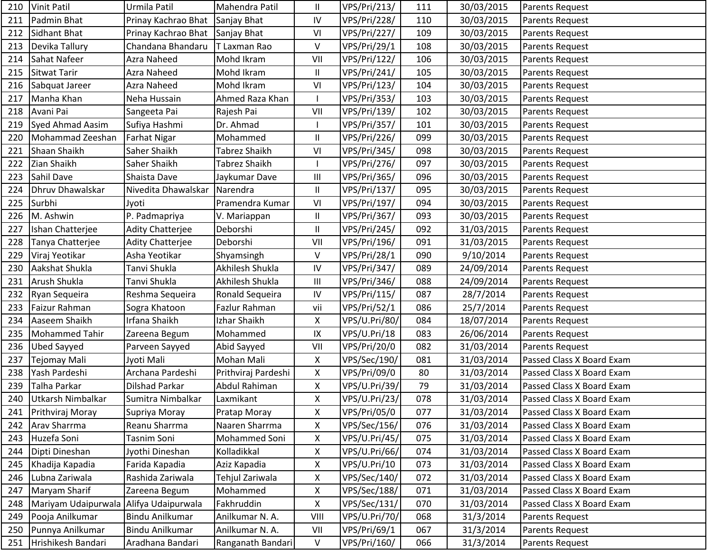| 210 | <b>Vinit Patil</b>                     | Urmila Patil                    | Mahendra Patil      | Ш            | VPS/Pri/213/        | 111 | 30/03/2015 | Parents Request           |
|-----|----------------------------------------|---------------------------------|---------------------|--------------|---------------------|-----|------------|---------------------------|
| 211 | Padmin Bhat                            | Prinay Kachrao Bhat             | Sanjay Bhat         | IV           | <b>VPS/Pri/228/</b> | 110 | 30/03/2015 | Parents Request           |
| 212 | Sidhant Bhat                           | Prinay Kachrao Bhat Sanjay Bhat |                     | VI           | VPS/Pri/227/        | 109 | 30/03/2015 | Parents Request           |
| 213 | Devika Tallury                         | Chandana Bhandaru               | T Laxman Rao        | V            | VPS/Pri/29/1        | 108 | 30/03/2015 | Parents Request           |
| 214 | Sahat Nafeer                           | Azra Naheed                     | Mohd Ikram          | VII          | VPS/Pri/122/        | 106 | 30/03/2015 | Parents Request           |
| 215 | <b>Sitwat Tarir</b>                    | Azra Naheed                     | Mohd Ikram          | $\mathbf{I}$ | VPS/Pri/241/        | 105 | 30/03/2015 | Parents Request           |
| 216 | Sabquat Jareer                         | Azra Naheed                     | Mohd Ikram          | VI           | VPS/Pri/123/        | 104 | 30/03/2015 | Parents Request           |
| 217 | Manha Khan                             | Neha Hussain                    | Ahmed Raza Khan     |              | VPS/Pri/353/        | 103 | 30/03/2015 | Parents Request           |
| 218 | Avani Pai                              | Sangeeta Pai                    | Rajesh Pai          | VII          | VPS/Pri/139/        | 102 | 30/03/2015 | Parents Request           |
| 219 | Syed Ahmad Aasim                       | Sufiya Hashmi                   | Dr. Ahmad           |              | VPS/Pri/357/        | 101 | 30/03/2015 | Parents Request           |
| 220 | Mohammad Zeeshan                       | <b>Farhat Nigar</b>             | Mohammed            | Ш            | VPS/Pri/226/        | 099 | 30/03/2015 | Parents Request           |
| 221 | Shaan Shaikh                           | Saher Shaikh                    | Tabrez Shaikh       | VI           | VPS/Pri/345/        | 098 | 30/03/2015 | Parents Request           |
| 222 | Zian Shaikh                            | Saher Shaikh                    | Tabrez Shaikh       |              | VPS/Pri/276/        | 097 | 30/03/2015 | Parents Request           |
| 223 | Sahil Dave                             | Shaista Dave                    | Jaykumar Dave       | Ш            | VPS/Pri/365/        | 096 | 30/03/2015 | Parents Request           |
| 224 | Dhruv Dhawalskar                       | Nivedita Dhawalskar             | Narendra            | Ш            | VPS/Pri/137/        | 095 | 30/03/2015 | Parents Request           |
| 225 | Surbhi                                 | Jyoti                           | Pramendra Kumar     | VI           | VPS/Pri/197/        | 094 | 30/03/2015 | <b>Parents Request</b>    |
| 226 | M. Ashwin                              | P. Padmapriya                   | V. Mariappan        | Ш            | VPS/Pri/367/        | 093 | 30/03/2015 | Parents Request           |
| 227 | Ishan Chatterjee                       | Adity Chatterjee                | Deborshi            | $\mathbf{I}$ | VPS/Pri/245/        | 092 | 31/03/2015 | Parents Request           |
| 228 | Tanya Chatterjee                       | Adity Chatterjee                | Deborshi            | VII          | VPS/Pri/196/        | 091 | 31/03/2015 | Parents Request           |
| 229 | Viraj Yeotikar                         | Asha Yeotikar                   | Shyamsingh          | V            | VPS/Pri/28/1        | 090 | 9/10/2014  | Parents Request           |
| 230 | Aakshat Shukla                         | Tanvi Shukla                    | Akhilesh Shukla     | ${\sf IV}$   | VPS/Pri/347/        | 089 | 24/09/2014 | Parents Request           |
| 231 | Arush Shukla                           | Tanvi Shukla                    | Akhilesh Shukla     | Ш            | VPS/Pri/346/        | 088 | 24/09/2014 | Parents Request           |
| 232 | Ryan Sequeira                          | Reshma Sequeira                 | Ronald Sequeira     | IV           | VPS/Pri/115/        | 087 | 28/7/2014  | Parents Request           |
| 233 | Faizur Rahman                          | Sogra Khatoon                   | Fazlur Rahman       | vii          | VPS/Pri/52/1        | 086 | 25/7/2014  | Parents Request           |
| 234 | Aaseem Shaikh                          | Irfana Shaikh                   | Izhar Shaikh        | X            | VPS/U.Pri/80/       | 084 | 18/07/2014 | Parents Request           |
| 235 | <b>Mohammed Tahir</b>                  | Zareena Begum                   | Mohammed            | IX           | VPS/U.Pri/18        | 083 | 26/06/2014 | Parents Request           |
| 236 | <b>Ubed Sayyed</b>                     | Parveen Sayyed                  | Abid Sayyed         | VII          | VPS/Pri/20/0        | 082 | 31/03/2014 | Parents Request           |
| 237 | <b>Tejomay Mali</b>                    | Jyoti Mali                      | Mohan Mali          | X            | VPS/Sec/190/        | 081 | 31/03/2014 | Passed Class X Board Exam |
| 238 | Yash Pardeshi                          | Archana Pardeshi                | Prithviraj Pardeshi | X            | VPS/Pri/09/0        | 80  | 31/03/2014 | Passed Class X Board Exam |
| 239 | Talha Parkar                           | <b>Dilshad Parkar</b>           | Abdul Rahiman       | Χ            | VPS/U.Pri/39/       | 79  | 31/03/2014 | Passed Class X Board Exam |
| 240 | Utkarsh Nimbalkar                      | Sumitra Nimbalkar               | Laxmikant           | Χ            | VPS/U.Pri/23/       | 078 | 31/03/2014 | Passed Class X Board Exam |
| 241 | Prithviraj Moray                       | Supriya Moray                   | Pratap Moray        | X            | VPS/Pri/05/0        | 077 | 31/03/2014 | Passed Class X Board Exam |
| 242 | Arav Sharrma                           | Reanu Sharrma                   | Naaren Sharrma      | Χ            | VPS/Sec/156/        | 076 | 31/03/2014 | Passed Class X Board Exam |
| 243 | Huzefa Soni                            | Tasnim Soni                     | Mohammed Soni       | X            | VPS/U.Pri/45/       | 075 | 31/03/2014 | Passed Class X Board Exam |
| 244 | Dipti Dineshan                         | Jyothi Dineshan                 | Kolladikkal         | X            | VPS/U.Pri/66/       | 074 | 31/03/2014 | Passed Class X Board Exam |
| 245 | Khadija Kapadia                        | Farida Kapadia                  | Aziz Kapadia        | X            | VPS/U.Pri/10        | 073 | 31/03/2014 | Passed Class X Board Exam |
| 246 | Lubna Zariwala                         | Rashida Zariwala                | Tehjul Zariwala     | Χ            | VPS/Sec/140/        | 072 | 31/03/2014 | Passed Class X Board Exam |
| 247 | Maryam Sharif                          | Zareena Begum                   | Mohammed            | Χ            | VPS/Sec/188/        | 071 | 31/03/2014 | Passed Class X Board Exam |
| 248 | Mariyam Udaipurwala Alifya Udaipurwala |                                 | Fakhruddin          | X            | VPS/Sec/131/        | 070 | 31/03/2014 | Passed Class X Board Exam |
| 249 | Pooja Anilkumar                        | Bindu Anilkumar                 | Anilkumar N. A.     | VIII         | VPS/U.Pri/70/       | 068 | 31/3/2014  | Parents Request           |
| 250 | Punnya Anilkumar                       | Bindu Anilkumar                 | Anilkumar N. A.     | VII          | VPS/Pri/69/1        | 067 | 31/3/2014  | Parents Request           |
| 251 | Hrishikesh Bandari                     | Aradhana Bandari                | Ranganath Bandari   | V            | VPS/Pri/160/        | 066 | 31/3/2014  | Parents Request           |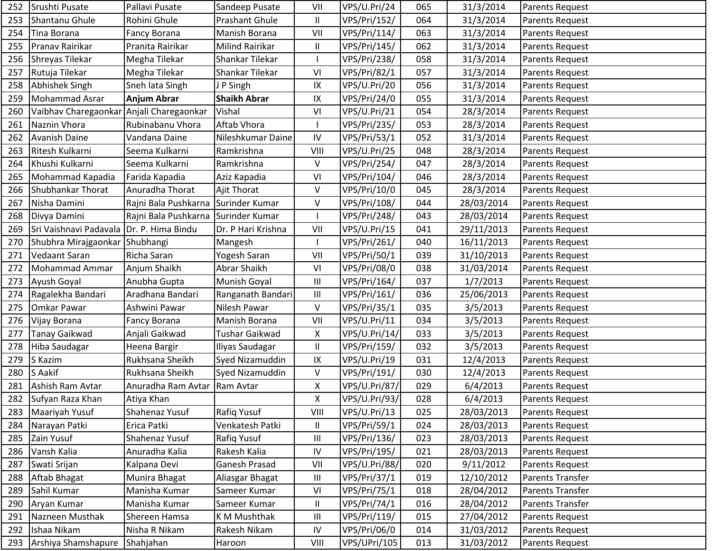| 252 | Srushti Pusate                           | Pallavi Pusate                      | Sandeep Pusate         | VII                        | VPS/U.Pri/24        | 065 | 31/3/2014  | Parents Request         |
|-----|------------------------------------------|-------------------------------------|------------------------|----------------------------|---------------------|-----|------------|-------------------------|
| 253 | Shantanu Ghule                           | Rohini Ghule                        | Prashant Ghule         | $\sf II$                   | VPS/Pri/152/        | 064 | 31/3/2014  | Parents Request         |
| 254 | Tina Borana                              | Fancy Borana                        | Manish Borana          | VII                        | <b>VPS/Pri/114/</b> | 063 | 31/3/2014  | Parents Request         |
| 255 | Pranav Rairikar                          | Pranita Rairikar                    | <b>Milind Rairikar</b> | $\mathsf{II}$              | VPS/Pri/145/        | 062 | 31/3/2014  | Parents Request         |
| 256 | Shreyas Tilekar                          | Megha Tilekar                       | Shankar Tilekar        |                            | VPS/Pri/238/        | 058 | 31/3/2014  | Parents Request         |
| 257 | Rutuja Tilekar                           | Megha Tilekar                       | Shankar Tilekar        | VI                         | VPS/Pri/82/1        | 057 | 31/3/2014  | Parents Request         |
| 258 | Abhishek Singh                           | Sneh lata Singh                     | J P Singh              | IX                         | VPS/U.Pri/20        | 056 | 31/3/2014  | Parents Request         |
| 259 | Mohammad Asrar                           | <b>Anjum Abrar</b>                  | <b>Shaikh Abrar</b>    | IX                         | VPS/Pri/24/0        | 055 | 31/3/2014  | Parents Request         |
| 260 | Vaibhav Charegaonkar Anjali Charegaonkar |                                     | Vishal                 | VI                         | VPS/U.Pri/21        | 054 | 28/3/2014  | <b>Parents Request</b>  |
| 261 | Naznin Vhora                             | Rubinabanu Vhora                    | Aftab Vhora            |                            | VPS/Pri/235/        | 053 | 28/3/2014  | Parents Request         |
| 262 | <b>Avanish Daine</b>                     | Vandana Daine                       | Nileshkumar Daine      | IV                         | VPS/Pri/53/1        | 052 | 31/3/2014  | Parents Request         |
| 263 | Ritesh Kulkarni                          | Seema Kulkarni                      | Ramkrishna             | VIII                       | VPS/U.Pri/25        | 048 | 28/3/2014  | Parents Request         |
| 264 | Khushi Kulkarni                          | Seema Kulkarni                      | Ramkrishna             | V                          | VPS/Pri/254/        | 047 | 28/3/2014  | <b>Parents Request</b>  |
| 265 | Mohammad Kapadia                         | Farida Kapadia                      | Aziz Kapadia           | VI                         | VPS/Pri/104/        | 046 | 28/3/2014  | Parents Request         |
| 266 | Shubhankar Thorat                        | Anuradha Thorat                     | <b>Ajit Thorat</b>     | V                          | VPS/Pri/10/0        | 045 | 28/3/2014  | Parents Request         |
| 267 | Nisha Damini                             | Rajni Bala Pushkarna Surinder Kumar |                        | V                          | VPS/Pri/108/        | 044 | 28/03/2014 | <b>Parents Request</b>  |
| 268 | Divya Damini                             | Rajni Bala Pushkarna Surinder Kumar |                        |                            | VPS/Pri/248/        | 043 | 28/03/2014 | Parents Request         |
| 269 | Sri Vaishnavi Padavala Dr. P. Hima Bindu |                                     | Dr. P Hari Krishna     | VII                        | VPS/U.Pri/15        | 041 | 29/11/2013 | Parents Request         |
| 270 | Shubhra Mirajgaonkar Shubhangi           |                                     | Mangesh                |                            | VPS/Pri/261/        | 040 | 16/11/2013 | Parents Request         |
| 271 | Vedaant Saran                            | Richa Saran                         | Yogesh Saran           | VII                        | VPS/Pri/50/1        | 039 | 31/10/2013 | Parents Request         |
| 272 | Mohammad Ammar                           | Anjum Shaikh                        | Abrar Shaikh           | VI                         | VPS/Pri/08/0        | 038 | 31/03/2014 | Parents Request         |
| 273 | Ayush Goyal                              | Anubha Gupta                        | Munish Goyal           | Ш                          | <b>VPS/Pri/164/</b> | 037 | 1/7/2013   | Parents Request         |
| 274 | Ragalekha Bandari                        | Aradhana Bandari                    | Ranganath Bandari      | Ш                          | VPS/Pri/161/        | 036 | 25/06/2013 | Parents Request         |
| 275 | Omkar Pawar                              | Ashwini Pawar                       | Nilesh Pawar           | V                          | VPS/Pri/35/1        | 035 | 3/5/2013   | Parents Request         |
| 276 | Vijay Borana                             | Fancy Borana                        | Manish Borana          | VII                        | VPS/U.Pri/11        | 034 | 3/5/2013   | Parents Request         |
| 277 | <b>Tanay Gaikwad</b>                     | Anjali Gaikwad                      | Tushar Gaikwad         | Χ                          | VPS/U.Pri/14/       | 033 | 3/5/2013   | Parents Request         |
| 278 | Hiba Saudagar                            | Heena Bargir                        | Iliyas Saudagar        | $\ensuremath{\mathsf{II}}$ | VPS/Pri/159/        | 032 | 3/5/2013   | Parents Request         |
| 279 | S Kazim                                  | Rukhsana Sheikh                     | Syed Nizamuddin        | IX                         | VPS/U.Pri/19        | 031 | 12/4/2013  | Parents Request         |
| 280 | S Aakif                                  | Rukhsana Sheikh                     | Syed Nizamuddin        | V                          | VPS/Pri/191/        | 030 | 12/4/2013  | Parents Request         |
| 281 | Ashish Ram Avtar                         | Anuradha Ram Avtar   Ram Avtar      |                        | Χ                          | VPS/U.Pri/87/       | 029 | 6/4/2013   | Parents Request         |
| 282 | Sufyan Raza Khan                         | Atiya Khan                          |                        | Χ                          | VPS/U.Pri/93/       | 028 | 6/4/2013   | Parents Request         |
| 283 | Maariyah Yusuf                           | Shahenaz Yusuf                      | Rafiq Yusuf            | VIII                       | VPS/U.Pri/13        | 025 | 28/03/2013 | Parents Request         |
| 284 | Narayan Patki                            | Erica Patki                         | Venkatesh Patki        | $\sf II$                   | VPS/Pri/59/1        | 024 | 28/03/2013 | Parents Request         |
| 285 | Zain Yusuf                               | Shahenaz Yusuf                      | Rafiq Yusuf            | Ш                          | VPS/Pri/136/        | 023 | 28/03/2013 | Parents Request         |
| 286 | Vansh Kalia                              | Anuradha Kalia                      | Rakesh Kalia           | IV                         | VPS/Pri/195/        | 021 | 28/03/2013 | Parents Request         |
| 287 | Swati Srijan                             | Kalpana Devi                        | Ganesh Prasad          | VII                        | VPS/U.Pri/88/       | 020 | 9/11/2012  | Parents Request         |
| 288 | Aftab Bhagat                             | Munira Bhagat                       | Aliasgar Bhagat        | Ш                          | VPS/Pri/37/1        | 019 | 12/10/2012 | <b>Parents Transfer</b> |
| 289 | Sahil Kumar                              | Manisha Kumar                       | Sameer Kumar           | VI                         | VPS/Pri/75/1        | 018 | 28/04/2012 | Parents Transfer        |
| 290 | Aryan Kumar                              | Manisha Kumar                       | Sameer Kumar           | $\mathsf{II}$              | VPS/Pri/74/1        | 016 | 28/04/2012 | <b>Parents Transfer</b> |
| 291 | Nazneen Musthak                          | Shereen Hamsa                       | K M Mushthak           | Ш                          | VPS/Pri/119/        | 015 | 27/04/2012 | Parents Request         |
| 292 | Ishaa Nikam                              | Nisha R Nikam                       | Rakesh Nikam           | IV                         | VPS/Pri/06/0        | 014 | 31/03/2012 | Parents Request         |
| 293 | Arshiya Shamshapure                      | Shahjahan                           | Haroon                 | VIII                       | VPS/UPri/105        | 013 | 31/03/2012 | Parents Request         |